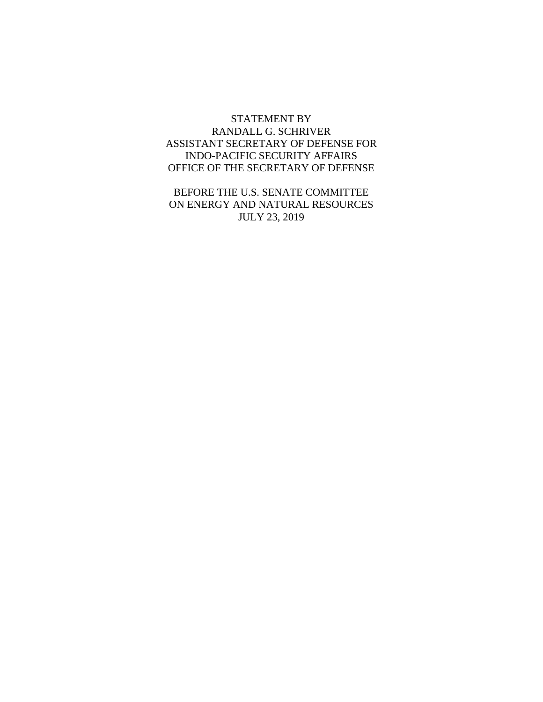#### STATEMENT BY RANDALL G. SCHRIVER ASSISTANT SECRETARY OF DEFENSE FOR INDO-PACIFIC SECURITY AFFAIRS OFFICE OF THE SECRETARY OF DEFENSE

BEFORE THE U.S. SENATE COMMITTEE ON ENERGY AND NATURAL RESOURCES JULY 23, 2019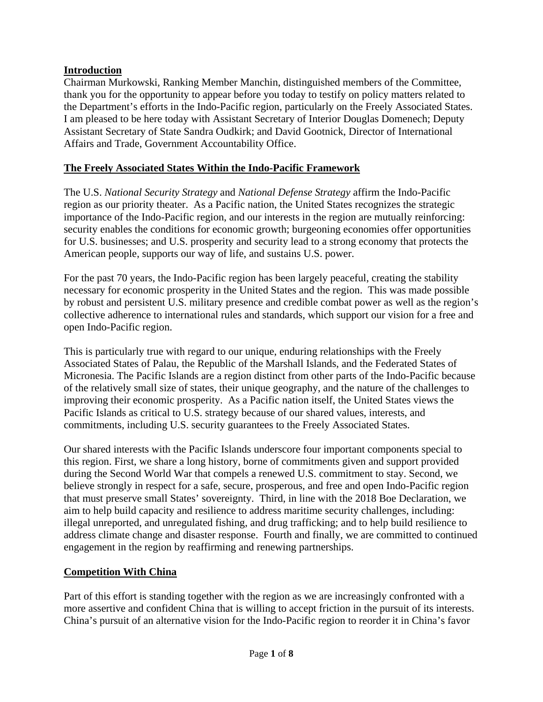## **Introduction**

Chairman Murkowski, Ranking Member Manchin, distinguished members of the Committee, thank you for the opportunity to appear before you today to testify on policy matters related to the Department's efforts in the Indo-Pacific region, particularly on the Freely Associated States. I am pleased to be here today with Assistant Secretary of Interior Douglas Domenech; Deputy Assistant Secretary of State Sandra Oudkirk; and David Gootnick, Director of International Affairs and Trade, Government Accountability Office.

## **The Freely Associated States Within the Indo-Pacific Framework**

The U.S. *National Security Strategy* and *National Defense Strategy* affirm the Indo-Pacific region as our priority theater. As a Pacific nation, the United States recognizes the strategic importance of the Indo-Pacific region, and our interests in the region are mutually reinforcing: security enables the conditions for economic growth; burgeoning economies offer opportunities for U.S. businesses; and U.S. prosperity and security lead to a strong economy that protects the American people, supports our way of life, and sustains U.S. power.

For the past 70 years, the Indo-Pacific region has been largely peaceful, creating the stability necessary for economic prosperity in the United States and the region. This was made possible by robust and persistent U.S. military presence and credible combat power as well as the region's collective adherence to international rules and standards, which support our vision for a free and open Indo-Pacific region.

This is particularly true with regard to our unique, enduring relationships with the Freely Associated States of Palau, the Republic of the Marshall Islands, and the Federated States of Micronesia. The Pacific Islands are a region distinct from other parts of the Indo-Pacific because of the relatively small size of states, their unique geography, and the nature of the challenges to improving their economic prosperity. As a Pacific nation itself, the United States views the Pacific Islands as critical to U.S. strategy because of our shared values, interests, and commitments, including U.S. security guarantees to the Freely Associated States.

Our shared interests with the Pacific Islands underscore four important components special to this region. First, we share a long history, borne of commitments given and support provided during the Second World War that compels a renewed U.S. commitment to stay. Second, we believe strongly in respect for a safe, secure, prosperous, and free and open Indo-Pacific region that must preserve small States' sovereignty. Third, in line with the 2018 Boe Declaration, we aim to help build capacity and resilience to address maritime security challenges, including: illegal unreported, and unregulated fishing, and drug trafficking; and to help build resilience to address climate change and disaster response. Fourth and finally, we are committed to continued engagement in the region by reaffirming and renewing partnerships.

### **Competition With China**

Part of this effort is standing together with the region as we are increasingly confronted with a more assertive and confident China that is willing to accept friction in the pursuit of its interests. China's pursuit of an alternative vision for the Indo-Pacific region to reorder it in China's favor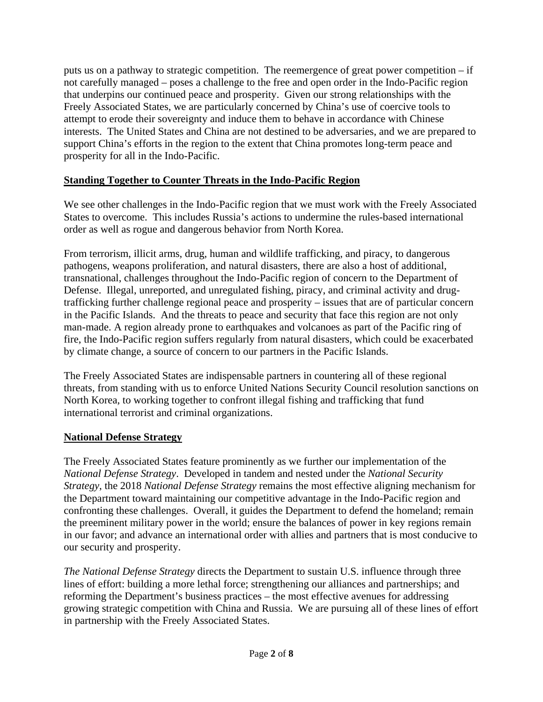puts us on a pathway to strategic competition. The reemergence of great power competition – if not carefully managed – poses a challenge to the free and open order in the Indo-Pacific region that underpins our continued peace and prosperity. Given our strong relationships with the Freely Associated States, we are particularly concerned by China's use of coercive tools to attempt to erode their sovereignty and induce them to behave in accordance with Chinese interests. The United States and China are not destined to be adversaries, and we are prepared to support China's efforts in the region to the extent that China promotes long-term peace and prosperity for all in the Indo-Pacific.

## **Standing Together to Counter Threats in the Indo-Pacific Region**

We see other challenges in the Indo-Pacific region that we must work with the Freely Associated States to overcome. This includes Russia's actions to undermine the rules-based international order as well as rogue and dangerous behavior from North Korea.

From terrorism, illicit arms, drug, human and wildlife trafficking, and piracy, to dangerous pathogens, weapons proliferation, and natural disasters, there are also a host of additional, transnational, challenges throughout the Indo-Pacific region of concern to the Department of Defense. Illegal, unreported, and unregulated fishing, piracy, and criminal activity and drugtrafficking further challenge regional peace and prosperity – issues that are of particular concern in the Pacific Islands. And the threats to peace and security that face this region are not only man-made. A region already prone to earthquakes and volcanoes as part of the Pacific ring of fire, the Indo-Pacific region suffers regularly from natural disasters, which could be exacerbated by climate change, a source of concern to our partners in the Pacific Islands.

The Freely Associated States are indispensable partners in countering all of these regional threats, from standing with us to enforce United Nations Security Council resolution sanctions on North Korea, to working together to confront illegal fishing and trafficking that fund international terrorist and criminal organizations.

### **National Defense Strategy**

The Freely Associated States feature prominently as we further our implementation of the *National Defense Strategy*. Developed in tandem and nested under the *National Security Strategy*, the 2018 *National Defense Strategy* remains the most effective aligning mechanism for the Department toward maintaining our competitive advantage in the Indo-Pacific region and confronting these challenges. Overall, it guides the Department to defend the homeland; remain the preeminent military power in the world; ensure the balances of power in key regions remain in our favor; and advance an international order with allies and partners that is most conducive to our security and prosperity.

*The National Defense Strategy* directs the Department to sustain U.S. influence through three lines of effort: building a more lethal force; strengthening our alliances and partnerships; and reforming the Department's business practices – the most effective avenues for addressing growing strategic competition with China and Russia. We are pursuing all of these lines of effort in partnership with the Freely Associated States.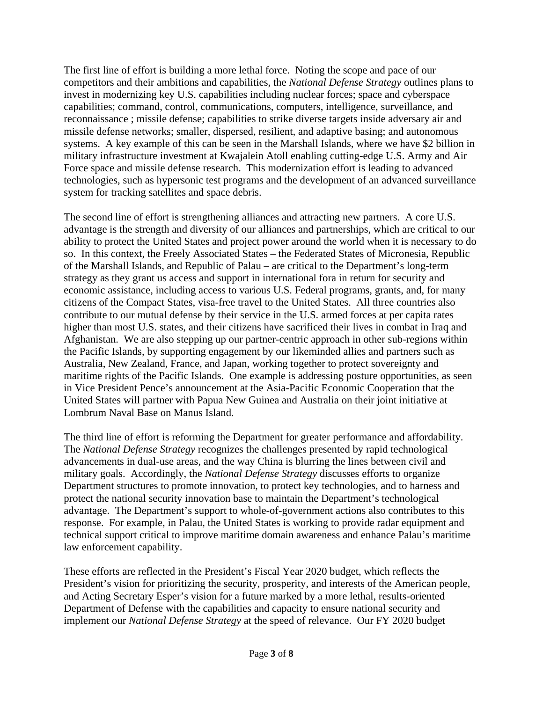The first line of effort is building a more lethal force. Noting the scope and pace of our competitors and their ambitions and capabilities, the *National Defense Strategy* outlines plans to invest in modernizing key U.S. capabilities including nuclear forces; space and cyberspace capabilities; command, control, communications, computers, intelligence, surveillance, and reconnaissance ; missile defense; capabilities to strike diverse targets inside adversary air and missile defense networks; smaller, dispersed, resilient, and adaptive basing; and autonomous systems. A key example of this can be seen in the Marshall Islands, where we have \$2 billion in military infrastructure investment at Kwajalein Atoll enabling cutting-edge U.S. Army and Air Force space and missile defense research. This modernization effort is leading to advanced technologies, such as hypersonic test programs and the development of an advanced surveillance system for tracking satellites and space debris.

The second line of effort is strengthening alliances and attracting new partners. A core U.S. advantage is the strength and diversity of our alliances and partnerships, which are critical to our ability to protect the United States and project power around the world when it is necessary to do so. In this context, the Freely Associated States – the Federated States of Micronesia, Republic of the Marshall Islands, and Republic of Palau – are critical to the Department's long-term strategy as they grant us access and support in international fora in return for security and economic assistance, including access to various U.S. Federal programs, grants, and, for many citizens of the Compact States, visa-free travel to the United States. All three countries also contribute to our mutual defense by their service in the U.S. armed forces at per capita rates higher than most U.S. states, and their citizens have sacrificed their lives in combat in Iraq and Afghanistan. We are also stepping up our partner-centric approach in other sub-regions within the Pacific Islands, by supporting engagement by our likeminded allies and partners such as Australia, New Zealand, France, and Japan, working together to protect sovereignty and maritime rights of the Pacific Islands. One example is addressing posture opportunities, as seen in Vice President Pence's announcement at the Asia-Pacific Economic Cooperation that the United States will partner with Papua New Guinea and Australia on their joint initiative at Lombrum Naval Base on Manus Island.

The third line of effort is reforming the Department for greater performance and affordability. The *National Defense Strategy* recognizes the challenges presented by rapid technological advancements in dual-use areas, and the way China is blurring the lines between civil and military goals. Accordingly, the *National Defense Strategy* discusses efforts to organize Department structures to promote innovation, to protect key technologies, and to harness and protect the national security innovation base to maintain the Department's technological advantage. The Department's support to whole-of-government actions also contributes to this response. For example, in Palau, the United States is working to provide radar equipment and technical support critical to improve maritime domain awareness and enhance Palau's maritime law enforcement capability.

These efforts are reflected in the President's Fiscal Year 2020 budget, which reflects the President's vision for prioritizing the security, prosperity, and interests of the American people, and Acting Secretary Esper's vision for a future marked by a more lethal, results-oriented Department of Defense with the capabilities and capacity to ensure national security and implement our *National Defense Strategy* at the speed of relevance. Our FY 2020 budget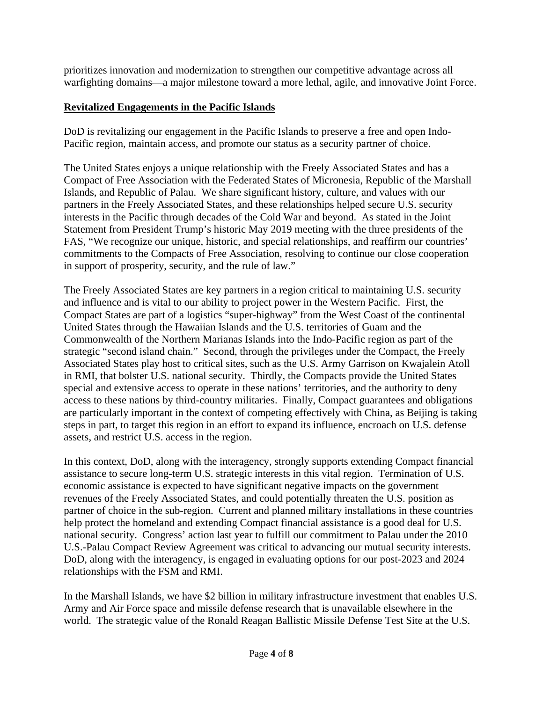prioritizes innovation and modernization to strengthen our competitive advantage across all warfighting domains—a major milestone toward a more lethal, agile, and innovative Joint Force.

# **Revitalized Engagements in the Pacific Islands**

DoD is revitalizing our engagement in the Pacific Islands to preserve a free and open Indo-Pacific region, maintain access, and promote our status as a security partner of choice.

The United States enjoys a unique relationship with the Freely Associated States and has a Compact of Free Association with the Federated States of Micronesia, Republic of the Marshall Islands, and Republic of Palau. We share significant history, culture, and values with our partners in the Freely Associated States, and these relationships helped secure U.S. security interests in the Pacific through decades of the Cold War and beyond. As stated in the Joint Statement from President Trump's historic May 2019 meeting with the three presidents of the FAS, "We recognize our unique, historic, and special relationships, and reaffirm our countries' commitments to the Compacts of Free Association, resolving to continue our close cooperation in support of prosperity, security, and the rule of law."

The Freely Associated States are key partners in a region critical to maintaining U.S. security and influence and is vital to our ability to project power in the Western Pacific. First, the Compact States are part of a logistics "super-highway" from the West Coast of the continental United States through the Hawaiian Islands and the U.S. territories of Guam and the Commonwealth of the Northern Marianas Islands into the Indo-Pacific region as part of the strategic "second island chain." Second, through the privileges under the Compact, the Freely Associated States play host to critical sites, such as the U.S. Army Garrison on Kwajalein Atoll in RMI, that bolster U.S. national security. Thirdly, the Compacts provide the United States special and extensive access to operate in these nations' territories, and the authority to deny access to these nations by third-country militaries. Finally, Compact guarantees and obligations are particularly important in the context of competing effectively with China, as Beijing is taking steps in part, to target this region in an effort to expand its influence, encroach on U.S. defense assets, and restrict U.S. access in the region.

In this context, DoD, along with the interagency, strongly supports extending Compact financial assistance to secure long-term U.S. strategic interests in this vital region. Termination of U.S. economic assistance is expected to have significant negative impacts on the government revenues of the Freely Associated States, and could potentially threaten the U.S. position as partner of choice in the sub-region. Current and planned military installations in these countries help protect the homeland and extending Compact financial assistance is a good deal for U.S. national security. Congress' action last year to fulfill our commitment to Palau under the 2010 U.S.-Palau Compact Review Agreement was critical to advancing our mutual security interests. DoD, along with the interagency, is engaged in evaluating options for our post-2023 and 2024 relationships with the FSM and RMI.

In the Marshall Islands, we have \$2 billion in military infrastructure investment that enables U.S. Army and Air Force space and missile defense research that is unavailable elsewhere in the world. The strategic value of the Ronald Reagan Ballistic Missile Defense Test Site at the U.S.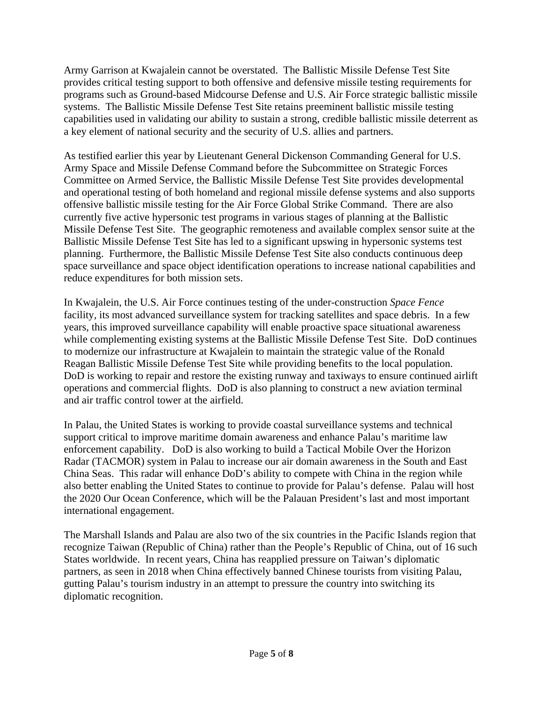Army Garrison at Kwajalein cannot be overstated. The Ballistic Missile Defense Test Site provides critical testing support to both offensive and defensive missile testing requirements for programs such as Ground-based Midcourse Defense and U.S. Air Force strategic ballistic missile systems. The Ballistic Missile Defense Test Site retains preeminent ballistic missile testing capabilities used in validating our ability to sustain a strong, credible ballistic missile deterrent as a key element of national security and the security of U.S. allies and partners.

As testified earlier this year by Lieutenant General Dickenson Commanding General for U.S. Army Space and Missile Defense Command before the Subcommittee on Strategic Forces Committee on Armed Service, the Ballistic Missile Defense Test Site provides developmental and operational testing of both homeland and regional missile defense systems and also supports offensive ballistic missile testing for the Air Force Global Strike Command. There are also currently five active hypersonic test programs in various stages of planning at the Ballistic Missile Defense Test Site. The geographic remoteness and available complex sensor suite at the Ballistic Missile Defense Test Site has led to a significant upswing in hypersonic systems test planning. Furthermore, the Ballistic Missile Defense Test Site also conducts continuous deep space surveillance and space object identification operations to increase national capabilities and reduce expenditures for both mission sets.

In Kwajalein, the U.S. Air Force continues testing of the under-construction *Space Fence* facility, its most advanced surveillance system for tracking satellites and space debris. In a few years, this improved surveillance capability will enable proactive space situational awareness while complementing existing systems at the Ballistic Missile Defense Test Site. DoD continues to modernize our infrastructure at Kwajalein to maintain the strategic value of the Ronald Reagan Ballistic Missile Defense Test Site while providing benefits to the local population. DoD is working to repair and restore the existing runway and taxiways to ensure continued airlift operations and commercial flights. DoD is also planning to construct a new aviation terminal and air traffic control tower at the airfield.

In Palau, the United States is working to provide coastal surveillance systems and technical support critical to improve maritime domain awareness and enhance Palau's maritime law enforcement capability. DoD is also working to build a Tactical Mobile Over the Horizon Radar (TACMOR) system in Palau to increase our air domain awareness in the South and East China Seas. This radar will enhance DoD's ability to compete with China in the region while also better enabling the United States to continue to provide for Palau's defense. Palau will host the 2020 Our Ocean Conference, which will be the Palauan President's last and most important international engagement.

The Marshall Islands and Palau are also two of the six countries in the Pacific Islands region that recognize Taiwan (Republic of China) rather than the People's Republic of China, out of 16 such States worldwide. In recent years, China has reapplied pressure on Taiwan's diplomatic partners, as seen in 2018 when China effectively banned Chinese tourists from visiting Palau, gutting Palau's tourism industry in an attempt to pressure the country into switching its diplomatic recognition.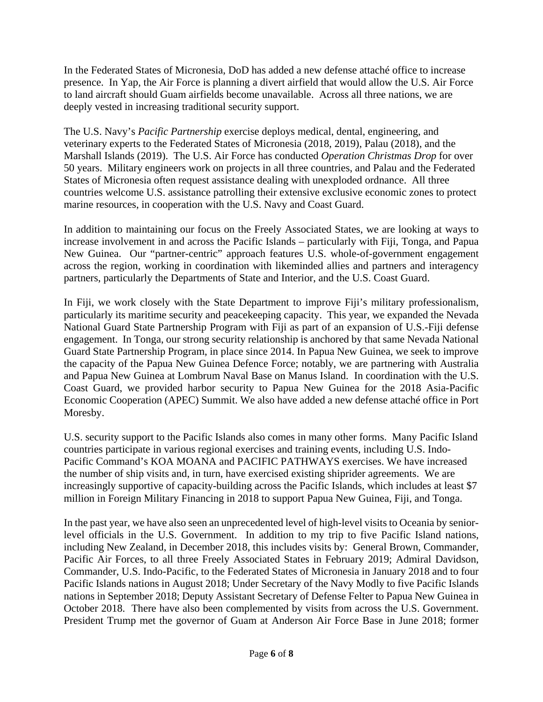In the Federated States of Micronesia, DoD has added a new defense attaché office to increase presence. In Yap, the Air Force is planning a divert airfield that would allow the U.S. Air Force to land aircraft should Guam airfields become unavailable. Across all three nations, we are deeply vested in increasing traditional security support.

The U.S. Navy's *Pacific Partnership* exercise deploys medical, dental, engineering, and veterinary experts to the Federated States of Micronesia (2018, 2019), Palau (2018), and the Marshall Islands (2019). The U.S. Air Force has conducted *Operation Christmas Drop* for over 50 years. Military engineers work on projects in all three countries, and Palau and the Federated States of Micronesia often request assistance dealing with unexploded ordnance. All three countries welcome U.S. assistance patrolling their extensive exclusive economic zones to protect marine resources, in cooperation with the U.S. Navy and Coast Guard.

In addition to maintaining our focus on the Freely Associated States, we are looking at ways to increase involvement in and across the Pacific Islands – particularly with Fiji, Tonga, and Papua New Guinea. Our "partner-centric" approach features U.S. whole-of-government engagement across the region, working in coordination with likeminded allies and partners and interagency partners, particularly the Departments of State and Interior, and the U.S. Coast Guard.

In Fiji, we work closely with the State Department to improve Fiji's military professionalism, particularly its maritime security and peacekeeping capacity. This year, we expanded the Nevada National Guard State Partnership Program with Fiji as part of an expansion of U.S.-Fiji defense engagement. In Tonga, our strong security relationship is anchored by that same Nevada National Guard State Partnership Program, in place since 2014. In Papua New Guinea, we seek to improve the capacity of the Papua New Guinea Defence Force; notably, we are partnering with Australia and Papua New Guinea at Lombrum Naval Base on Manus Island. In coordination with the U.S. Coast Guard, we provided harbor security to Papua New Guinea for the 2018 Asia-Pacific Economic Cooperation (APEC) Summit. We also have added a new defense attaché office in Port Moresby.

U.S. security support to the Pacific Islands also comes in many other forms. Many Pacific Island countries participate in various regional exercises and training events, including U.S. Indo-Pacific Command's KOA MOANA and PACIFIC PATHWAYS exercises. We have increased the number of ship visits and, in turn, have exercised existing shiprider agreements. We are increasingly supportive of capacity-building across the Pacific Islands, which includes at least \$7 million in Foreign Military Financing in 2018 to support Papua New Guinea, Fiji, and Tonga.

In the past year, we have also seen an unprecedented level of high-level visits to Oceania by seniorlevel officials in the U.S. Government. In addition to my trip to five Pacific Island nations, including New Zealand, in December 2018, this includes visits by: General Brown, Commander, Pacific Air Forces, to all three Freely Associated States in February 2019; Admiral Davidson, Commander, U.S. Indo-Pacific, to the Federated States of Micronesia in January 2018 and to four Pacific Islands nations in August 2018; Under Secretary of the Navy Modly to five Pacific Islands nations in September 2018; Deputy Assistant Secretary of Defense Felter to Papua New Guinea in October 2018. There have also been complemented by visits from across the U.S. Government. President Trump met the governor of Guam at Anderson Air Force Base in June 2018; former